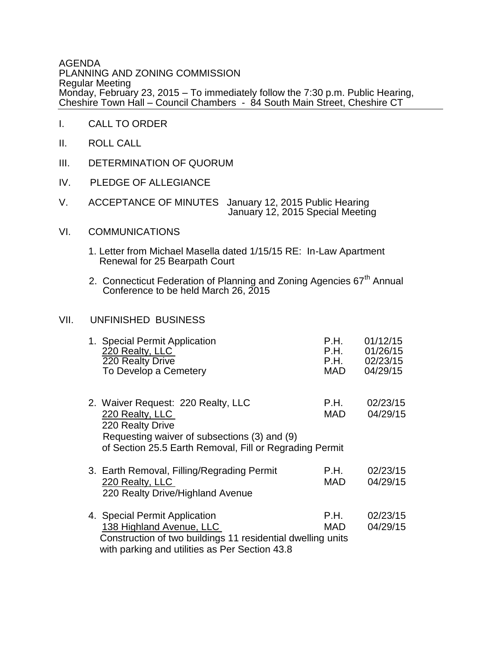AGENDA PLANNING AND ZONING COMMISSION Regular Meeting Monday, February 23, 2015 – To immediately follow the 7:30 p.m. Public Hearing, Cheshire Town Hall – Council Chambers - 84 South Main Street, Cheshire CT

- I. CALL TO ORDER
- II. ROLL CALL
- III. DETERMINATION OF QUORUM
- IV. PLEDGE OF ALLEGIANCE
- V. ACCEPTANCE OF MINUTES January 12, 2015 Public Hearing January 12, 2015 Special Meeting
- VI. COMMUNICATIONS
	- 1. Letter from Michael Masella dated 1/15/15 RE: In-Law Apartment Renewal for 25 Bearpath Court
	- 2. Connecticut Federation of Planning and Zoning Agencies 67<sup>th</sup> Annual Conference to be held March 26, 2015

## VII. UNFINISHED BUSINESS

| 1. Special Permit Application<br>220 Realty, LLC<br>220 Realty Drive<br>To Develop a Cemetery                                                                                        | P.H.<br>P.H.<br>P.H.<br>MAD | 01/12/15<br>01/26/15<br>02/23/15<br>04/29/15 |
|--------------------------------------------------------------------------------------------------------------------------------------------------------------------------------------|-----------------------------|----------------------------------------------|
| 2. Waiver Request: 220 Realty, LLC<br>220 Realty, LLC<br>220 Realty Drive<br>Requesting waiver of subsections (3) and (9)<br>of Section 25.5 Earth Removal, Fill or Regrading Permit | P.H.<br>MAD.                | 02/23/15<br>04/29/15                         |
| 3. Earth Removal, Filling/Regrading Permit<br>220 Realty, LLC<br>220 Realty Drive/Highland Avenue                                                                                    | P.H.<br>MAD.                | 02/23/15<br>04/29/15                         |
| 4. Special Permit Application<br>138 Highland Avenue, LLC<br>Construction of two buildings 11 residential dwelling units<br>with parking and utilities as Per Section 43.8           | P.H.<br>MAD                 | 02/23/15<br>04/29/15                         |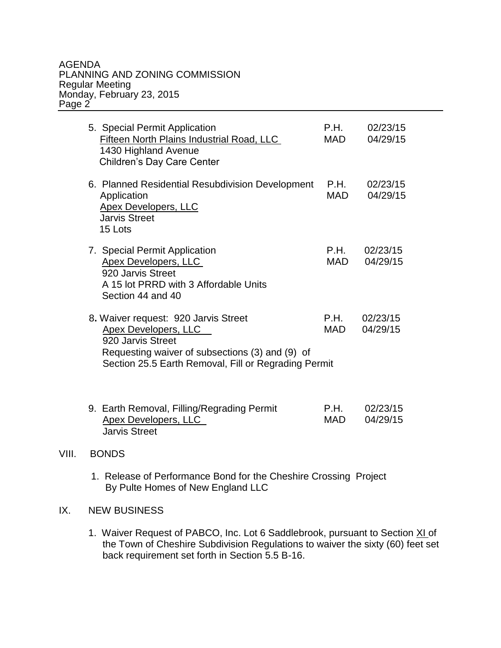## AGENDA PLANNING AND ZONING COMMISSION Regular Meeting Monday, February 23, 2015 Page 2

| 5. Special Permit Application<br><b>Fifteen North Plains Industrial Road, LLC</b><br>1430 Highland Avenue<br>Children's Day Care Center                                                             | P.H.<br><b>MAD</b> | 02/23/15<br>04/29/15 |
|-----------------------------------------------------------------------------------------------------------------------------------------------------------------------------------------------------|--------------------|----------------------|
| 6. Planned Residential Resubdivision Development<br>Application<br><b>Apex Developers, LLC</b><br><b>Jarvis Street</b><br>15 Lots                                                                   | P.H.<br><b>MAD</b> | 02/23/15<br>04/29/15 |
| 7. Special Permit Application<br>Apex Developers, LLC<br>920 Jarvis Street<br>A 15 lot PRRD with 3 Affordable Units<br>Section 44 and 40                                                            | P.H.<br>MAD        | 02/23/15<br>04/29/15 |
| 8. Waiver request: 920 Jarvis Street<br><b>Apex Developers, LLC</b><br>920 Jarvis Street<br>Requesting waiver of subsections (3) and (9) of<br>Section 25.5 Earth Removal, Fill or Regrading Permit | P.H.<br><b>MAD</b> | 02/23/15<br>04/29/15 |
| 9. Earth Removal, Filling/Regrading Permit<br>Apex Developers, LLC                                                                                                                                  | P.H.<br><b>MAD</b> | 02/23/15<br>04/29/15 |

## VIII. BONDS

1. Release of Performance Bond for the Cheshire Crossing Project By Pulte Homes of New England LLC

## IX. NEW BUSINESS

Jarvis Street

1. Waiver Request of PABCO, Inc. Lot 6 Saddlebrook, pursuant to Section XI of the Town of Cheshire Subdivision Regulations to waiver the sixty (60) feet set back requirement set forth in Section 5.5 B-16.